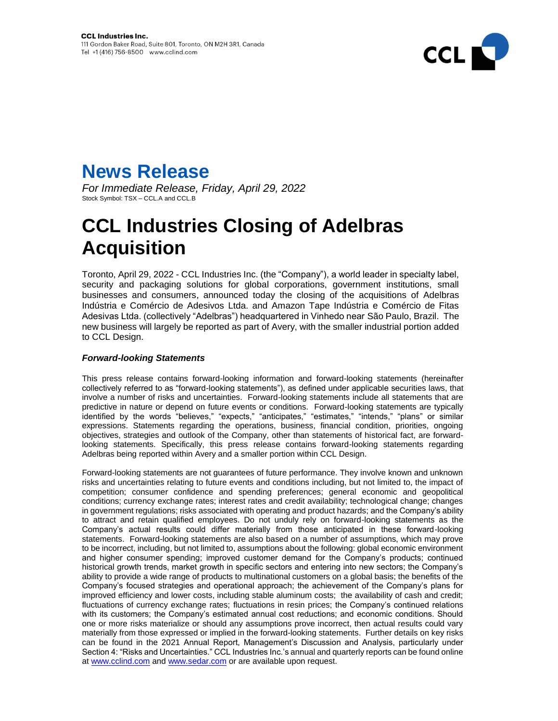

## **News Release**

*For Immediate Release, Friday, April 29, 2022* Stock Symbol: TSX – CCL.A and CCL.B

## **CCL Industries Closing of Adelbras Acquisition**

Toronto, April 29, 2022 - CCL Industries Inc. (the "Company"), a world leader in specialty label, security and packaging solutions for global corporations, government institutions, small businesses and consumers, announced today the closing of the acquisitions of Adelbras Indústria e Comércio de Adesivos Ltda. and Amazon Tape Indústria e Comércio de Fitas Adesivas Ltda. (collectively "Adelbras") headquartered in Vinhedo near São Paulo, Brazil. The new business will largely be reported as part of Avery, with the smaller industrial portion added to CCL Design.

## *Forward-looking Statements*

This press release contains forward-looking information and forward-looking statements (hereinafter collectively referred to as "forward-looking statements"), as defined under applicable securities laws, that involve a number of risks and uncertainties. Forward-looking statements include all statements that are predictive in nature or depend on future events or conditions. Forward-looking statements are typically identified by the words "believes," "expects," "anticipates," "estimates," "intends," "plans" or similar expressions. Statements regarding the operations, business, financial condition, priorities, ongoing objectives, strategies and outlook of the Company, other than statements of historical fact, are forwardlooking statements. Specifically, this press release contains forward-looking statements regarding Adelbras being reported within Avery and a smaller portion within CCL Design.

Forward-looking statements are not guarantees of future performance. They involve known and unknown risks and uncertainties relating to future events and conditions including, but not limited to, the impact of competition; consumer confidence and spending preferences; general economic and geopolitical conditions; currency exchange rates; interest rates and credit availability; technological change; changes in government regulations; risks associated with operating and product hazards; and the Company's ability to attract and retain qualified employees. Do not unduly rely on forward-looking statements as the Company's actual results could differ materially from those anticipated in these forward-looking statements. Forward-looking statements are also based on a number of assumptions, which may prove to be incorrect, including, but not limited to, assumptions about the following: global economic environment and higher consumer spending; improved customer demand for the Company's products; continued historical growth trends, market growth in specific sectors and entering into new sectors; the Company's ability to provide a wide range of products to multinational customers on a global basis; the benefits of the Company's focused strategies and operational approach; the achievement of the Company's plans for improved efficiency and lower costs, including stable aluminum costs; the availability of cash and credit; fluctuations of currency exchange rates; fluctuations in resin prices; the Company's continued relations with its customers; the Company's estimated annual cost reductions; and economic conditions. Should one or more risks materialize or should any assumptions prove incorrect, then actual results could vary materially from those expressed or implied in the forward-looking statements. Further details on key risks can be found in the 2021 Annual Report, Management's Discussion and Analysis, particularly under Section 4: "Risks and Uncertainties." CCL Industries Inc.'s annual and quarterly reports can be found online at [www.cclind.com](http://www.cclind.com/) an[d www.sedar.com](http://www.sedar.com/) or are available upon request.